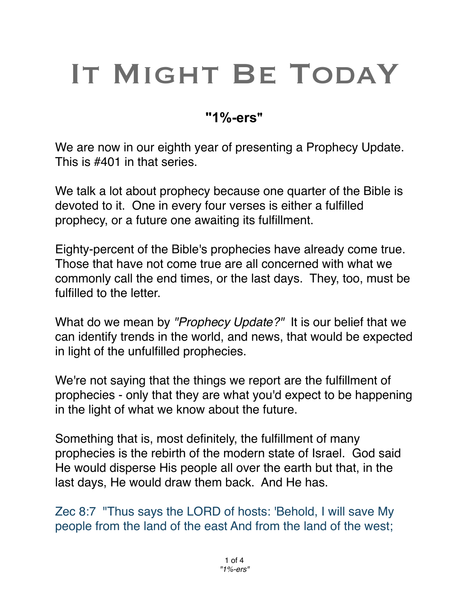# IT MIGHT BE TODAY

## **"1%-ers"**

We are now in our eighth year of presenting a Prophecy Update. This is #401 in that series.

We talk a lot about prophecy because one quarter of the Bible is devoted to it. One in every four verses is either a fulfilled prophecy, or a future one awaiting its fulfillment.

Eighty-percent of the Bible's prophecies have already come true. Those that have not come true are all concerned with what we commonly call the end times, or the last days. They, too, must be fulfilled to the letter.

What do we mean by *"Prophecy Update?"* It is our belief that we can identify trends in the world, and news, that would be expected in light of the unfulfilled prophecies.

We're not saying that the things we report are the fulfillment of prophecies - only that they are what you'd expect to be happening in the light of what we know about the future.

Something that is, most definitely, the fulfillment of many prophecies is the rebirth of the modern state of Israel. God said He would disperse His people all over the earth but that, in the last days, He would draw them back. And He has.

Zec 8:7 "Thus says the LORD of hosts: 'Behold, I will save My people from the land of the east And from the land of the west;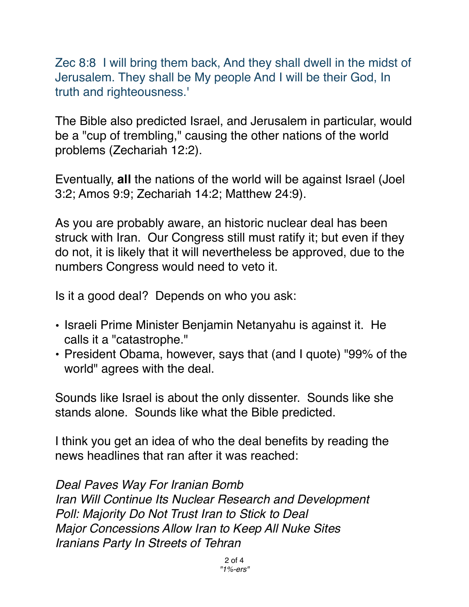Zec 8:8 I will bring them back, And they shall dwell in the midst of Jerusalem. They shall be My people And I will be their God, In truth and righteousness.'

The Bible also predicted Israel, and Jerusalem in particular, would be a "cup of trembling," causing the other nations of the world problems (Zechariah 12:2).

Eventually, **all** the nations of the world will be against Israel (Joel 3:2; Amos 9:9; Zechariah 14:2; Matthew 24:9).

As you are probably aware, an historic nuclear deal has been struck with Iran. Our Congress still must ratify it; but even if they do not, it is likely that it will nevertheless be approved, due to the numbers Congress would need to veto it.

Is it a good deal? Depends on who you ask:

- Israeli Prime Minister Benjamin Netanyahu is against it. He calls it a "catastrophe."
- President Obama, however, says that (and I quote) "99% of the world" agrees with the deal.

Sounds like Israel is about the only dissenter. Sounds like she stands alone. Sounds like what the Bible predicted.

I think you get an idea of who the deal benefits by reading the news headlines that ran after it was reached:

*Deal Paves Way For Iranian Bomb Iran Will Continue Its Nuclear Research and Development Poll: Majority Do Not Trust Iran to Stick to Deal Major Concessions Allow Iran to Keep All Nuke Sites Iranians Party In Streets of Tehran*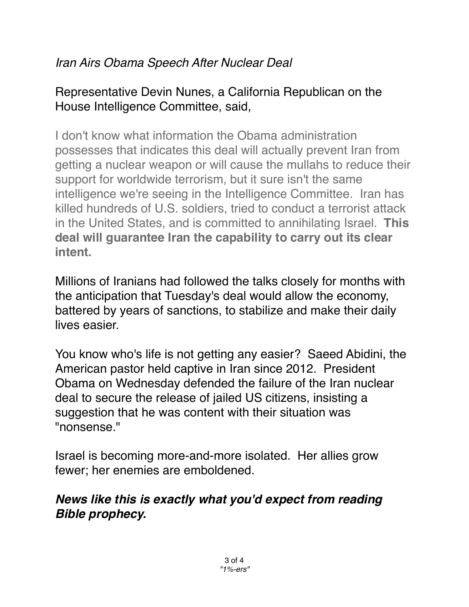## *Iran Airs Obama Speech After Nuclear Deal*

## Representative Devin Nunes, a California Republican on the House Intelligence Committee, said,

I don't know what information the Obama administration possesses that indicates this deal will actually prevent Iran from getting a nuclear weapon or will cause the mullahs to reduce their support for worldwide terrorism, but it sure isn't the same intelligence we're seeing in the Intelligence Committee. Iran has killed hundreds of U.S. soldiers, tried to conduct a terrorist attack in the United States, and is committed to annihilating Israel. **This deal will guarantee Iran the capability to carry out its clear intent.**

Millions of Iranians had followed the talks closely for months with the anticipation that Tuesday's deal would allow the economy, battered by years of sanctions, to stabilize and make their daily lives easier.

You know who's life is not getting any easier? Saeed Abidini, the American pastor held captive in Iran since 2012. President Obama on Wednesday defended the failure of the Iran nuclear deal to secure the release of jailed US citizens, insisting a suggestion that he was content with their situation was "nonsense."

Israel is becoming more-and-more isolated. Her allies grow fewer; her enemies are emboldened.

## *News like this is exactly what you'd expect from reading Bible prophecy.*